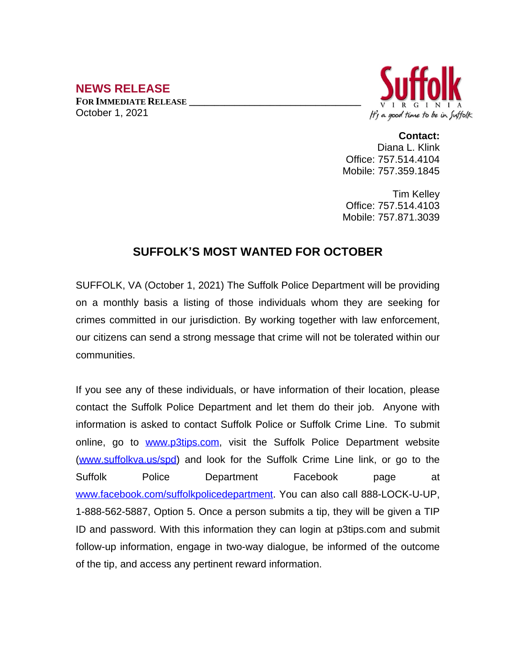## **NEWS RELEASE**

**FOR IMMEDIATE RELEASE \_\_\_\_\_\_\_\_\_\_\_\_\_\_\_\_\_\_\_\_\_\_\_\_\_\_\_\_\_\_\_\_\_\_** October 1, 2021



**Contact:** Diana L. Klink Office: 757.514.4104 Mobile: 757.359.1845

Tim Kelley Office: 757.514.4103 Mobile: 757.871.3039

## **SUFFOLK'S MOST WANTED FOR OCTOBER**

SUFFOLK, VA (October 1, 2021) The Suffolk Police Department will be providing on a monthly basis a listing of those individuals whom they are seeking for crimes committed in our jurisdiction. By working together with law enforcement, our citizens can send a strong message that crime will not be tolerated within our communities.

If you see any of these individuals, or have information of their location, please contact the Suffolk Police Department and let them do their job. Anyone with information is asked to contact Suffolk Police or Suffolk Crime Line. To submit online, go to [www.p3tips.com](http://www.p3tips.com), visit the Suffolk Police Department website ([www.suffolkva.us/spd](http://www.suffolkva.us/spd)) and look for the Suffolk Crime Line link, or go to the Suffolk Police Department Facebook page at [www.facebook.com/suffolkpolicedepartment](http://www.facebook.com/suffolkpolicedepartment). You can also call 888-LOCK-U-UP, 1-888-562-5887, Option 5. Once a person submits a tip, they will be given a TIP ID and password. With this information they can login at p3tips.com and submit follow-up information, engage in two-way dialogue, be informed of the outcome of the tip, and access any pertinent reward information.